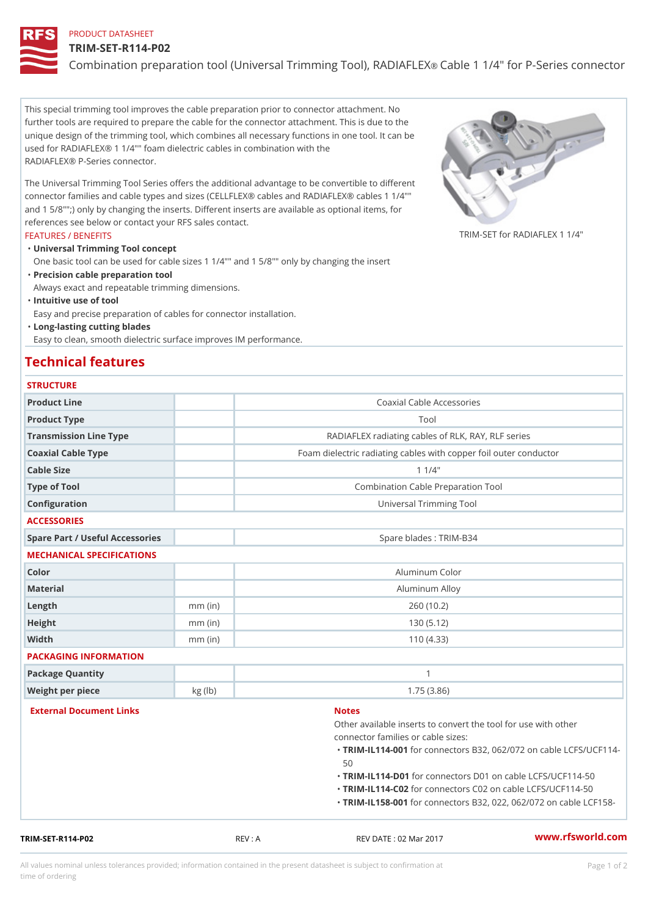# PRODUCT DATASHEET

#### TRIM-SET-R114-P02

# Combination preparation tool (Universal TrimenCiangleTdoll), 4 RAO IRFSEMes

This special trimming tool improves the cable preparation prior to connector attachment. No further tools are required to prepare the cable for the connector attachment. This is due to the unique design of the trimming tool, which combines all necessary functions in one tool. It can be used for RADIAFLEX® 1 1/4"" foam dielectric cables in combination with the RADIAFLEX® P-Series connector.

The Universal Trimming Tool Series offers the additional advantage to be convertible to different connector families and cable types and sizes (CELLFLEX® cables and RADIAFLEX® cables 1 1/4"" and 1 5/8"";) only by changing the inserts. Different inserts are available as optional items, for references see below or contact your RFS sales contact.

#### FEATURES / BENEFITS

TRIM-SET for RADIAFLEX  $1/4$ 

Universal Trimming Tool concept "

One basic tool can be used for cable sizes 1 1/4"" and 1 5/8"" only by changing the insert Precision cable preparation tool "

Always exact and repeatable trimming dimensions.

"Intuitive use of tool

Easy and precise preparation of cables for connector installation.

Long-lasting cutting blades "

Easy to clean, smooth dielectric surface improves IM performance.

# Technical features

| <b>STRUCTURE</b> |  |  |  |  |
|------------------|--|--|--|--|
|                  |  |  |  |  |

| TRIM-SET-R114-P02               | REV: A    | www.rfsworld.co<br>REV DATE : 02 Mar 2017                 |
|---------------------------------|-----------|-----------------------------------------------------------|
|                                 |           | "TRIM-IL158f00 tonnectors B32, 022, 062/072 pn o          |
|                                 |           | "TRIM-IL114f602onnectors C02 on cable LCFS/UC             |
|                                 |           | 50<br>"TRIM-IL114fD0 tonnectors D01 on cable LCFS /UC     |
|                                 |           | "TRIM-IL114f00 tonnectors B32, 062/072 on cable           |
|                                 |           | connector families or cable sizes:                        |
|                                 |           | Other available inserts to convert the tool for use       |
| External Document Links         |           | <b>Notes</b>                                              |
| Weight per piece                | kg (lb)   | 1.75(3.86)                                                |
| Package Quantity                |           | $\mathbf{1}$                                              |
| PACKAGING INFORMATION           |           |                                                           |
| Width                           | $mm$ (in) | 110(4.33)                                                 |
| Height                          | $mm$ (in) | 130(5.12)                                                 |
| Length                          | $mm$ (in) | 260(10.2)                                                 |
| Material                        |           | Aluminum Alloy                                            |
| Color                           |           | Aluminum Color                                            |
| MECHANICAL SPECIFICATIONS       |           |                                                           |
| Spare Part / Useful Accessories |           | Spare blades : TRIM-B34                                   |
| <b>ACCESSORIES</b>              |           |                                                           |
| Configuration                   |           | Universal Trimming Tool                                   |
| Type of Tool                    |           | Combination Cable Preparation Tool                        |
| Cable Size                      |           | $1 \t1/4$ "                                               |
| Coaxial Cable Type              |           | Foam dielectric radiating cables with copper foil outer c |
| Transmission Line Type          |           | RADIAFLEX radiating cables of RLK, RAY, RLF seri          |
| Product Type                    |           | Tool                                                      |
| Product Line                    |           | Coaxial Cable Accessories                                 |

All values nominal unless tolerances provided; information contained in the present datasheet is subject to Pcapgeign manation time of ordering